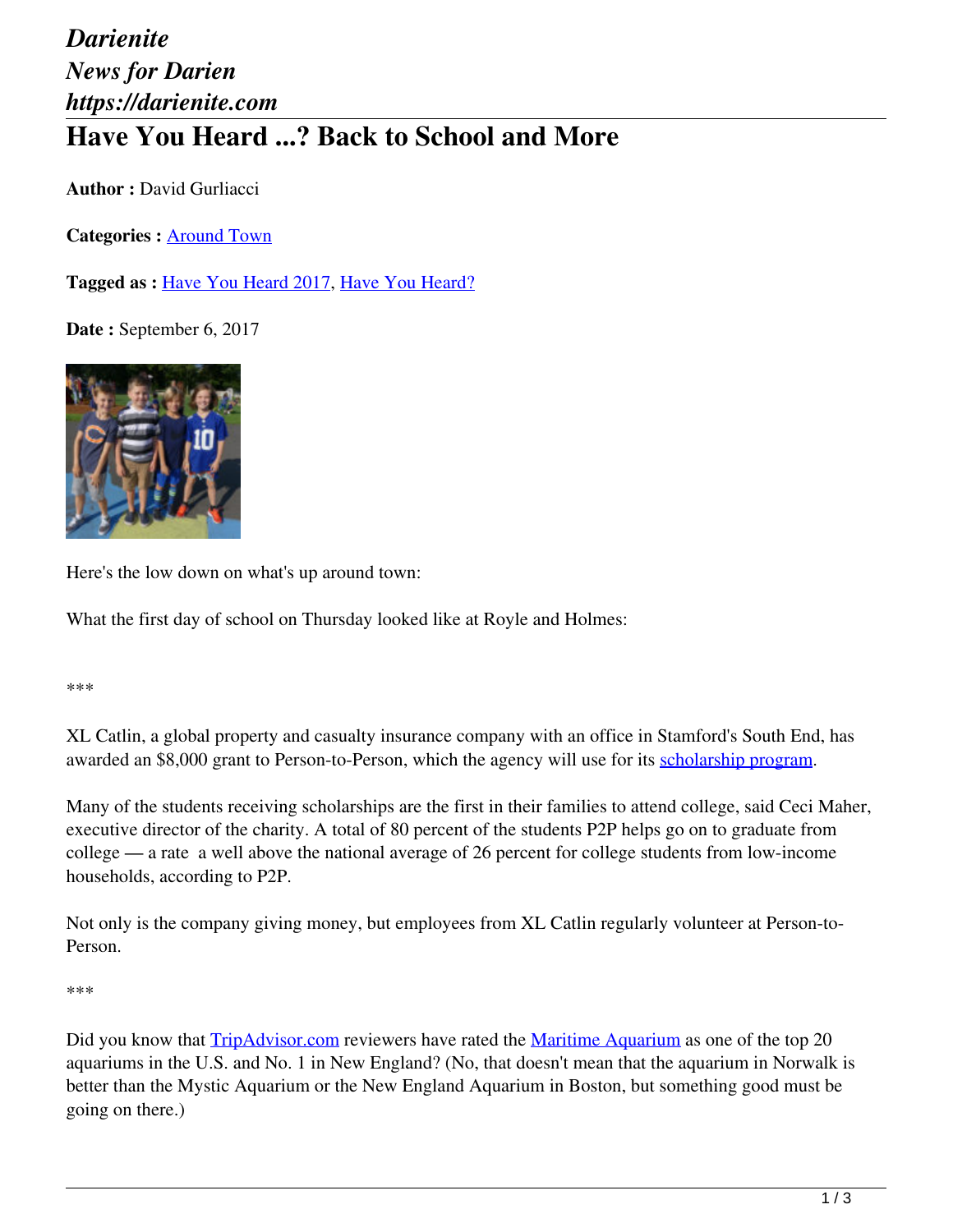## *Darienite News for Darien https://darienite.com* **Have You Heard ...? Back to School and More**

**Author :** David Gurliacci

**Categories :** [Around Town](https://darienite.com/category/news/around-town)

**Tagged as :** Have You Heard 2017, Have You Heard?

**Date :** September 6, 2017



Here's the low down on what's up around town:

What the first day of school on Thursday looked like at Royle and Holmes:

\*\*\*

XL Catlin, a global property and casualty insurance company with an office in Stamford's South End, has awarded an \$8,000 grant to Person-to-Person, which the agency will use for its scholarship program.

Many of the students receiving scholarships are the first in their families to attend college, said Ceci Maher, executive director of the charity. A total of 80 percent of the students P2P helps go on to graduate from college — a rate a well above the national average of 26 percent for college students from low-income households, according to P2P.

Not only is the company giving money, but employees from XL Catlin regularly volunteer at Person-to-Person.

\*\*\*

Did you know that TripAdvisor.com reviewers have rated the Maritime Aquarium as one of the top 20 aquariums in the U.S. and No. 1 in New England? (No, that doesn't mean that the aquarium in Norwalk is better than the Mystic Aquarium or the New England Aquarium in Boston, but something good must be going on there.)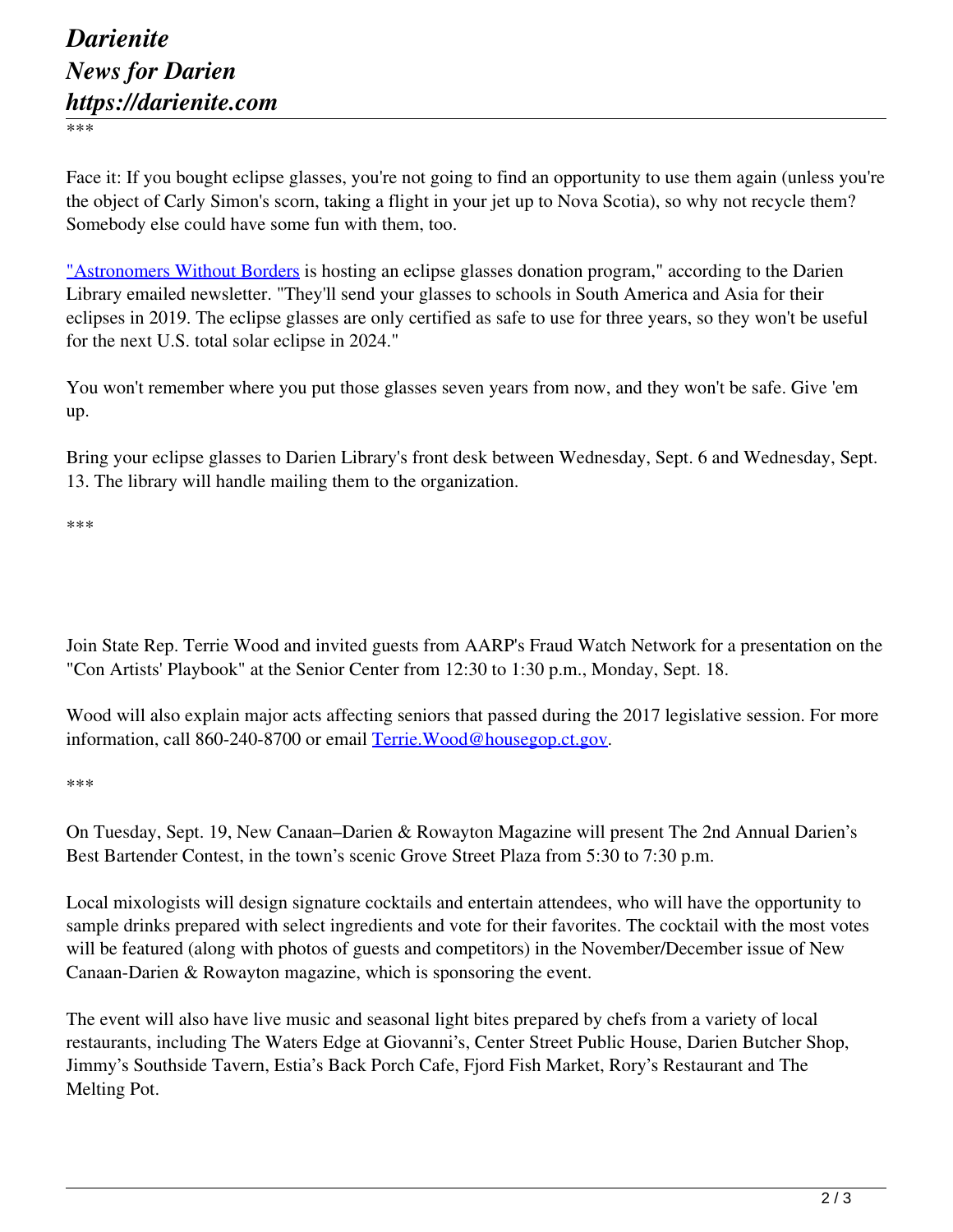\*\*\*

Face it: If you bought eclipse glasses, you're not going to find an opportunity to use them again (unless you're the object of Carly Simon's scorn, taking a flight in your jet up to Nova Scotia), so why not recycle them? Somebody else could have some fun with them, too.

"Astronomers Without Borders is hosting an eclipse glasses donation program," according to the Darien Library emailed newsletter. "They'll send your glasses to schools in South America and Asia for their eclipses in 2019. The eclipse glasses are only certified as safe to use for three years, so they won't be useful for the next U.S. total solar eclipse in 2024."

You won't remember where you put those glasses seven years from now, and they won't be safe. Give 'em up.

Bring your eclipse glasses to Darien Library's front desk between Wednesday, Sept. 6 and Wednesday, Sept. 13. The library will handle mailing them to the organization.

\*\*\*

Join State Rep. Terrie Wood and invited guests from AARP's Fraud Watch Network for a presentation on the "Con Artists' Playbook" at the Senior Center from 12:30 to 1:30 p.m., Monday, Sept. 18.

Wood will also explain major acts affecting seniors that passed during the 2017 legislative session. For more information, call 860-240-8700 or email Terrie.Wood@housegop.ct.gov.

\*\*\*

On Tuesday, Sept. 19, New Canaan–Darien & Rowayton Magazine will present The 2nd Annual Darien's Best Bartender Contest, in the town's scenic Grove Street Plaza from 5:30 to 7:30 p.m.

Local mixologists will design signature cocktails and entertain attendees, who will have the opportunity to sample drinks prepared with select ingredients and vote for their favorites. The cocktail with the most votes will be featured (along with photos of guests and competitors) in the November/December issue of New Canaan-Darien & Rowayton magazine, which is sponsoring the event.

The event will also have live music and seasonal light bites prepared by chefs from a variety of local restaurants, including The Waters Edge at Giovanni's, Center Street Public House, Darien Butcher Shop, Jimmy's Southside Tavern, Estia's Back Porch Cafe, Fjord Fish Market, Rory's Restaurant and The Melting Pot.